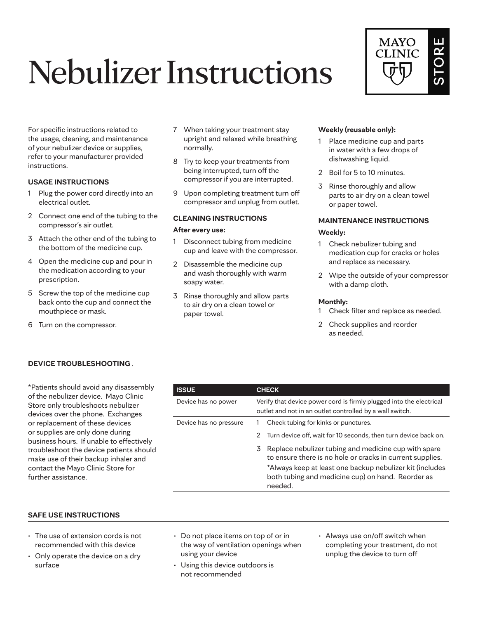# Nebulizer Instructions



For specific instructions related to the usage, cleaning, and maintenance of your nebulizer device or supplies, refer to your manufacturer provided instructions.

### **USAGE INSTRUCTIONS**

- 1 Plug the power cord directly into an electrical outlet.
- 2 Connect one end of the tubing to the compressor's air outlet.
- 3 Attach the other end of the tubing to the bottom of the medicine cup.
- 4 Open the medicine cup and pour in the medication according to your prescription.
- 5 Screw the top of the medicine cup back onto the cup and connect the mouthpiece or mask.
- 6 Turn on the compressor.
- 7 When taking your treatment stay upright and relaxed while breathing normally.
- 8 Try to keep your treatments from being interrupted, turn off the compressor if you are interrupted.
- 9 Upon completing treatment turn off compressor and unplug from outlet.

# **CLEANING INSTRUCTIONS**

#### **After every use:**

- 1 Disconnect tubing from medicine cup and leave with the compressor.
- 2 Disassemble the medicine cup and wash thoroughly with warm soapy water.
- 3 Rinse thoroughly and allow parts to air dry on a clean towel or paper towel.

#### **Weekly (reusable only):**

- 1 Place medicine cup and parts in water with a few drops of dishwashing liquid.
- 2 Boil for 5 to 10 minutes.
- 3 Rinse thoroughly and allow parts to air dry on a clean towel or paper towel.

# **MAINTENANCE INSTRUCTIONS**

#### **Weekly:**

- 1 Check nebulizer tubing and medication cup for cracks or holes and replace as necessary.
- 2 Wipe the outside of your compressor with a damp cloth.

#### **Monthly:**

- 1 Check filter and replace as needed.
- 2 Check supplies and reorder as needed.

# **DEVICE TROUBLESHOOTING** .

\*Patients should avoid any disassembly of the nebulizer device. Mayo Clinic Store only troubleshoots nebulizer devices over the phone. Exchanges or replacement of these devices or supplies are only done during business hours. If unable to effectively troubleshoot the device patients should make use of their backup inhaler and contact the Mayo Clinic Store for further assistance.

| <b>ISSUE</b>           | <b>CHECK</b>                                                                                                                                                                                                                                        |  |  |
|------------------------|-----------------------------------------------------------------------------------------------------------------------------------------------------------------------------------------------------------------------------------------------------|--|--|
| Device has no power    | Verify that device power cord is firmly plugged into the electrical<br>outlet and not in an outlet controlled by a wall switch.                                                                                                                     |  |  |
| Device has no pressure | Check tubing for kinks or punctures.                                                                                                                                                                                                                |  |  |
|                        | Turn device off, wait for 10 seconds, then turn device back on.<br>2                                                                                                                                                                                |  |  |
|                        | Replace nebulizer tubing and medicine cup with spare<br>3.<br>to ensure there is no hole or cracks in current supplies.<br>*Always keep at least one backup nebulizer kit (includes<br>both tubing and medicine cup) on hand. Reorder as<br>needed. |  |  |

#### **SAFE USE INSTRUCTIONS**

- The use of extension cords is not recommended with this device
- Only operate the device on a dry surface
- Do not place items on top of or in the way of ventilation openings when using your device
- Using this device outdoors is not recommended
- Always use on/off switch when completing your treatment, do not unplug the device to turn off